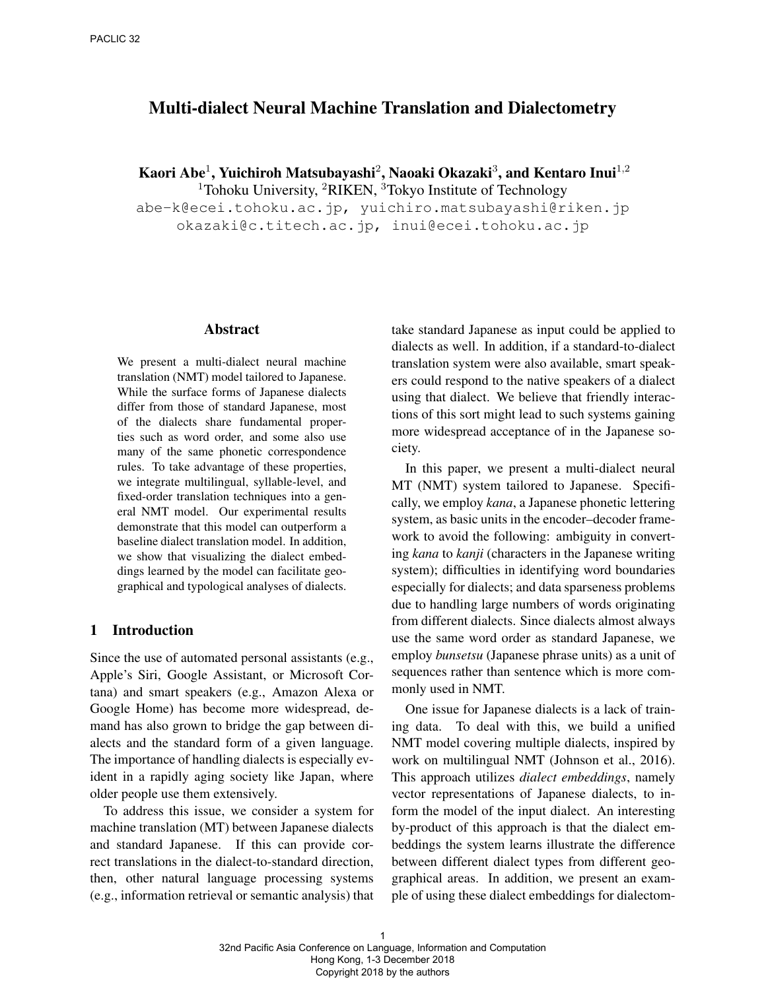# Multi-dialect Neural Machine Translation and Dialectometry

Kaori Abe $^1$ , Yuichiroh Matsubayashi $^2$ , Naoaki Okazaki $^3$ , and Kentaro Inui $^{1,2}$ 

<sup>1</sup>Tohoku University, <sup>2</sup>RIKEN, <sup>3</sup>Tokyo Institute of Technology

abe-k@ecei.tohoku.ac.jp, yuichiro.matsubayashi@riken.jp okazaki@c.titech.ac.jp, inui@ecei.tohoku.ac.jp

## Abstract

We present a multi-dialect neural machine translation (NMT) model tailored to Japanese. While the surface forms of Japanese dialects differ from those of standard Japanese, most of the dialects share fundamental properties such as word order, and some also use many of the same phonetic correspondence rules. To take advantage of these properties, we integrate multilingual, syllable-level, and fixed-order translation techniques into a general NMT model. Our experimental results demonstrate that this model can outperform a baseline dialect translation model. In addition, we show that visualizing the dialect embeddings learned by the model can facilitate geographical and typological analyses of dialects.

### 1 Introduction

Since the use of automated personal assistants (e.g., Apple's Siri, Google Assistant, or Microsoft Cortana) and smart speakers (e.g., Amazon Alexa or Google Home) has become more widespread, demand has also grown to bridge the gap between dialects and the standard form of a given language. The importance of handling dialects is especially evident in a rapidly aging society like Japan, where older people use them extensively.

To address this issue, we consider a system for machine translation (MT) between Japanese dialects and standard Japanese. If this can provide correct translations in the dialect-to-standard direction, then, other natural language processing systems (e.g., information retrieval or semantic analysis) that take standard Japanese as input could be applied to dialects as well. In addition, if a standard-to-dialect translation system were also available, smart speakers could respond to the native speakers of a dialect using that dialect. We believe that friendly interactions of this sort might lead to such systems gaining more widespread acceptance of in the Japanese society.

In this paper, we present a multi-dialect neural MT (NMT) system tailored to Japanese. Specifically, we employ *kana*, a Japanese phonetic lettering system, as basic units in the encoder–decoder framework to avoid the following: ambiguity in converting *kana* to *kanji* (characters in the Japanese writing system); difficulties in identifying word boundaries especially for dialects; and data sparseness problems due to handling large numbers of words originating from different dialects. Since dialects almost always use the same word order as standard Japanese, we employ *bunsetsu* (Japanese phrase units) as a unit of sequences rather than sentence which is more commonly used in NMT.

One issue for Japanese dialects is a lack of training data. To deal with this, we build a unified NMT model covering multiple dialects, inspired by work on multilingual NMT (Johnson et al., 2016). This approach utilizes *dialect embeddings*, namely vector representations of Japanese dialects, to inform the model of the input dialect. An interesting by-product of this approach is that the dialect embeddings the system learns illustrate the difference between different dialect types from different geographical areas. In addition, we present an example of using these dialect embeddings for dialectom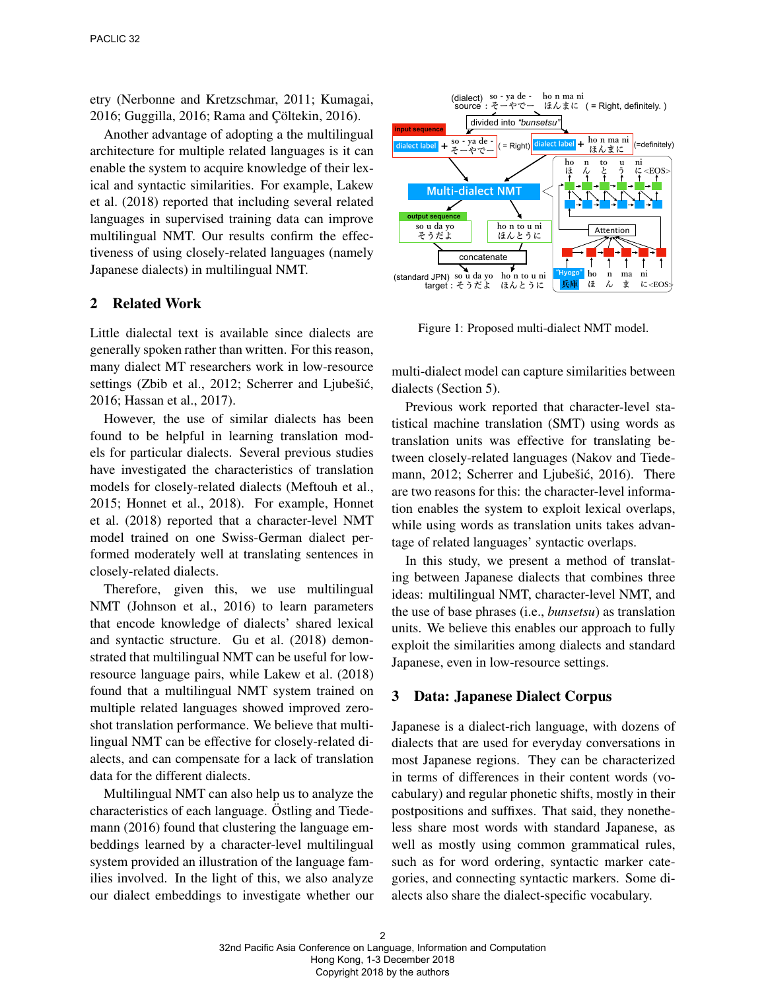etry (Nerbonne and Kretzschmar, 2011; Kumagai, 2016; Guggilla, 2016; Rama and Çöltekin, 2016).

Another advantage of adopting a the multilingual architecture for multiple related languages is it can enable the system to acquire knowledge of their lexical and syntactic similarities. For example, Lakew et al. (2018) reported that including several related languages in supervised training data can improve multilingual NMT. Our results confirm the effectiveness of using closely-related languages (namely Japanese dialects) in multilingual NMT.

## 2 Related Work

Little dialectal text is available since dialects are generally spoken rather than written. For this reason, many dialect MT researchers work in low-resource settings (Zbib et al., 2012; Scherrer and Ljubešić, 2016; Hassan et al., 2017).

However, the use of similar dialects has been found to be helpful in learning translation models for particular dialects. Several previous studies have investigated the characteristics of translation models for closely-related dialects (Meftouh et al., 2015; Honnet et al., 2018). For example, Honnet et al. (2018) reported that a character-level NMT model trained on one Swiss-German dialect performed moderately well at translating sentences in closely-related dialects.

Therefore, given this, we use multilingual NMT (Johnson et al., 2016) to learn parameters that encode knowledge of dialects' shared lexical and syntactic structure. Gu et al. (2018) demonstrated that multilingual NMT can be useful for lowresource language pairs, while Lakew et al. (2018) found that a multilingual NMT system trained on multiple related languages showed improved zeroshot translation performance. We believe that multilingual NMT can be effective for closely-related dialects, and can compensate for a lack of translation data for the different dialects.

Multilingual NMT can also help us to analyze the characteristics of each language. Östling and Tiedemann (2016) found that clustering the language embeddings learned by a character-level multilingual system provided an illustration of the language families involved. In the light of this, we also analyze our dialect embeddings to investigate whether our



Figure 1: Proposed multi-dialect NMT model.

multi-dialect model can capture similarities between dialects (Section 5).

Previous work reported that character-level statistical machine translation (SMT) using words as translation units was effective for translating between closely-related languages (Nakov and Tiedemann, 2012; Scherrer and Ljubešić, 2016). There are two reasons for this: the character-level information enables the system to exploit lexical overlaps, while using words as translation units takes advantage of related languages' syntactic overlaps.

In this study, we present a method of translating between Japanese dialects that combines three ideas: multilingual NMT, character-level NMT, and the use of base phrases (i.e., *bunsetsu*) as translation units. We believe this enables our approach to fully exploit the similarities among dialects and standard Japanese, even in low-resource settings.

#### 3 Data: Japanese Dialect Corpus

Japanese is a dialect-rich language, with dozens of dialects that are used for everyday conversations in most Japanese regions. They can be characterized in terms of differences in their content words (vocabulary) and regular phonetic shifts, mostly in their postpositions and suffixes. That said, they nonetheless share most words with standard Japanese, as well as mostly using common grammatical rules, such as for word ordering, syntactic marker categories, and connecting syntactic markers. Some dialects also share the dialect-specific vocabulary.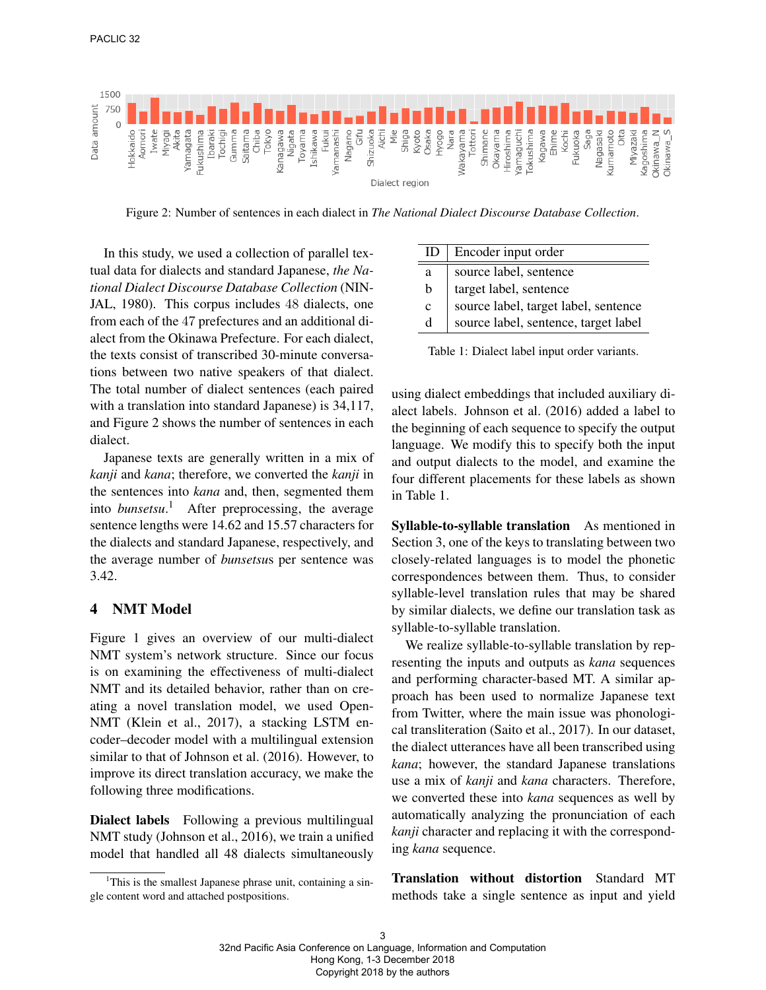

Figure 2: Number of sentences in each dialect in *The National Dialect Discourse Database Collection*.

Ė

In this study, we used a collection of parallel textual data for dialects and standard Japanese, *the National Dialect Discourse Database Collection* (NIN-JAL, 1980). This corpus includes 48 dialects, one from each of the 47 prefectures and an additional dialect from the Okinawa Prefecture. For each dialect, the texts consist of transcribed 30-minute conversations between two native speakers of that dialect. The total number of dialect sentences (each paired with a translation into standard Japanese) is 34,117, and Figure 2 shows the number of sentences in each dialect.

Japanese texts are generally written in a mix of *kanji* and *kana*; therefore, we converted the *kanji* in the sentences into *kana* and, then, segmented them into *bunsetsu*. <sup>1</sup> After preprocessing, the average sentence lengths were 14.62 and 15.57 characters for the dialects and standard Japanese, respectively, and the average number of *bunsetsu*s per sentence was 3.42.

#### 4 NMT Model

Figure 1 gives an overview of our multi-dialect NMT system's network structure. Since our focus is on examining the effectiveness of multi-dialect NMT and its detailed behavior, rather than on creating a novel translation model, we used Open-NMT (Klein et al., 2017), a stacking LSTM encoder–decoder model with a multilingual extension similar to that of Johnson et al. (2016). However, to improve its direct translation accuracy, we make the following three modifications.

Dialect labels Following a previous multilingual NMT study (Johnson et al., 2016), we train a unified model that handled all 48 dialects simultaneously

| ID           | Encoder input order                  |
|--------------|--------------------------------------|
| a            | source label, sentence               |
| $\mathbf b$  | target label, sentence               |
| $\mathbf{c}$ | source label, target label, sentence |
| d            | source label, sentence, target label |

Table 1: Dialect label input order variants.

using dialect embeddings that included auxiliary dialect labels. Johnson et al. (2016) added a label to the beginning of each sequence to specify the output language. We modify this to specify both the input and output dialects to the model, and examine the four different placements for these labels as shown in Table 1.

Syllable-to-syllable translation As mentioned in Section 3, one of the keys to translating between two closely-related languages is to model the phonetic correspondences between them. Thus, to consider syllable-level translation rules that may be shared by similar dialects, we define our translation task as syllable-to-syllable translation.

We realize syllable-to-syllable translation by representing the inputs and outputs as *kana* sequences and performing character-based MT. A similar approach has been used to normalize Japanese text from Twitter, where the main issue was phonological transliteration (Saito et al., 2017). In our dataset, the dialect utterances have all been transcribed using *kana*; however, the standard Japanese translations use a mix of *kanji* and *kana* characters. Therefore, we converted these into *kana* sequences as well by automatically analyzing the pronunciation of each *kanji* character and replacing it with the corresponding *kana* sequence.

Translation without distortion Standard MT methods take a single sentence as input and yield

<sup>&</sup>lt;sup>1</sup>This is the smallest Japanese phrase unit, containing a single content word and attached postpositions.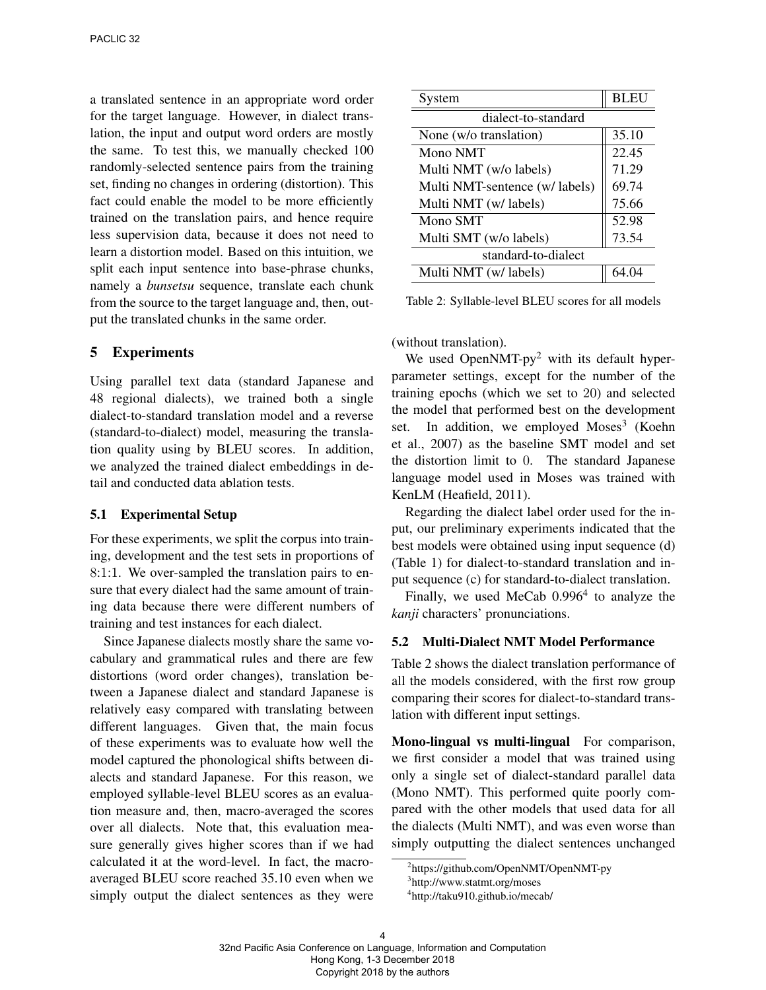a translated sentence in an appropriate word order for the target language. However, in dialect translation, the input and output word orders are mostly the same. To test this, we manually checked 100 randomly-selected sentence pairs from the training set, finding no changes in ordering (distortion). This fact could enable the model to be more efficiently trained on the translation pairs, and hence require less supervision data, because it does not need to learn a distortion model. Based on this intuition, we split each input sentence into base-phrase chunks, namely a *bunsetsu* sequence, translate each chunk from the source to the target language and, then, output the translated chunks in the same order.

### 5 Experiments

Using parallel text data (standard Japanese and 48 regional dialects), we trained both a single dialect-to-standard translation model and a reverse (standard-to-dialect) model, measuring the translation quality using by BLEU scores. In addition, we analyzed the trained dialect embeddings in detail and conducted data ablation tests.

#### 5.1 Experimental Setup

For these experiments, we split the corpus into training, development and the test sets in proportions of 8:1:1. We over-sampled the translation pairs to ensure that every dialect had the same amount of training data because there were different numbers of training and test instances for each dialect.

Since Japanese dialects mostly share the same vocabulary and grammatical rules and there are few distortions (word order changes), translation between a Japanese dialect and standard Japanese is relatively easy compared with translating between different languages. Given that, the main focus of these experiments was to evaluate how well the model captured the phonological shifts between dialects and standard Japanese. For this reason, we employed syllable-level BLEU scores as an evaluation measure and, then, macro-averaged the scores over all dialects. Note that, this evaluation measure generally gives higher scores than if we had calculated it at the word-level. In fact, the macroaveraged BLEU score reached 35.10 even when we simply output the dialect sentences as they were

| System                         | <b>BLEU</b> |  |  |  |
|--------------------------------|-------------|--|--|--|
| dialect-to-standard            |             |  |  |  |
| None (w/o translation)         | 35.10       |  |  |  |
| Mono NMT                       | 22.45       |  |  |  |
| Multi NMT (w/o labels)         | 71.29       |  |  |  |
| Multi NMT-sentence (w/ labels) | 69.74       |  |  |  |
| Multi NMT (w/ labels)          | 75.66       |  |  |  |
| Mono SMT                       | 52.98       |  |  |  |
| Multi SMT (w/o labels)         | 73.54       |  |  |  |
| standard-to-dialect            |             |  |  |  |
| Multi NMT (w/ labels)          |             |  |  |  |

Table 2: Syllable-level BLEU scores for all models

(without translation).

We used OpenNMT-py<sup>2</sup> with its default hyperparameter settings, except for the number of the training epochs (which we set to 20) and selected the model that performed best on the development set. In addition, we employed Moses<sup>3</sup> (Koehn et al., 2007) as the baseline SMT model and set the distortion limit to 0. The standard Japanese language model used in Moses was trained with KenLM (Heafield, 2011).

Regarding the dialect label order used for the input, our preliminary experiments indicated that the best models were obtained using input sequence (d) (Table 1) for dialect-to-standard translation and input sequence (c) for standard-to-dialect translation.

Finally, we used MeCab  $0.996<sup>4</sup>$  to analyze the *kanji* characters' pronunciations.

### 5.2 Multi-Dialect NMT Model Performance

Table 2 shows the dialect translation performance of all the models considered, with the first row group comparing their scores for dialect-to-standard translation with different input settings.

Mono-lingual vs multi-lingual For comparison, we first consider a model that was trained using only a single set of dialect-standard parallel data (Mono NMT). This performed quite poorly compared with the other models that used data for all the dialects (Multi NMT), and was even worse than simply outputting the dialect sentences unchanged

<sup>2</sup> https://github.com/OpenNMT/OpenNMT-py

<sup>3</sup> http://www.statmt.org/moses

<sup>4</sup> http://taku910.github.io/mecab/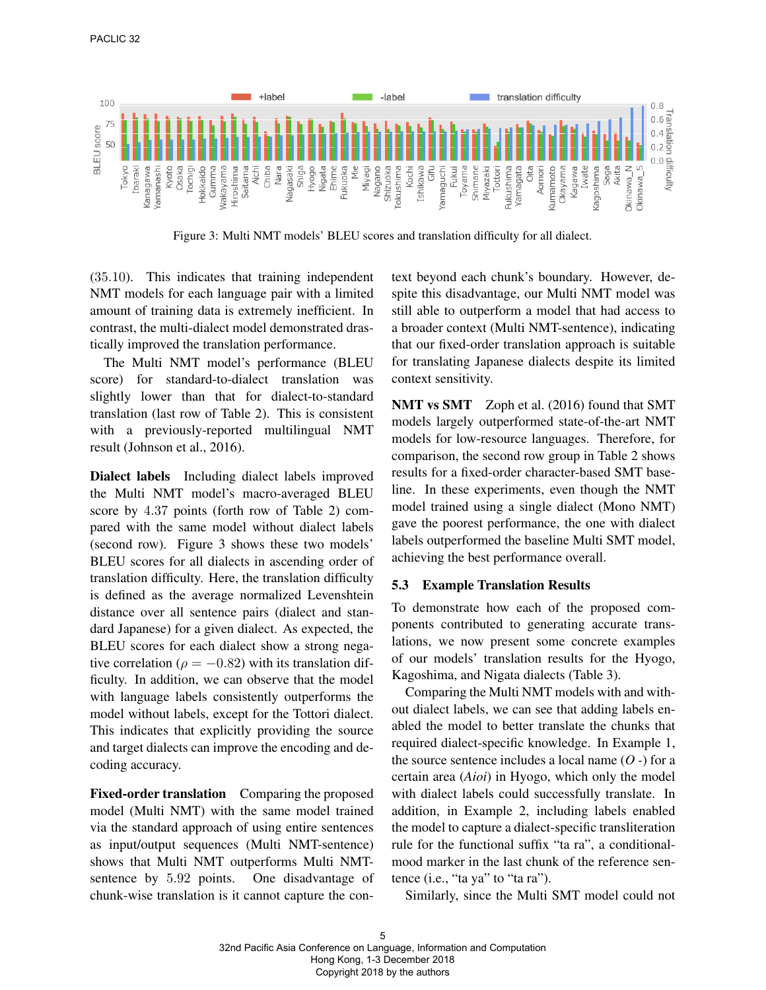

Figure 3: Multi NMT models' BLEU scores and translation difficulty for all dialect.

(35.10). This indicates that training independent NMT models for each language pair with a limited amount of training data is extremely inefficient. In contrast, the multi-dialect model demonstrated drastically improved the translation performance.

The Multi NMT model's performance (BLEU score) for standard-to-dialect translation was slightly lower than that for dialect-to-standard translation (last row of Table 2). This is consistent with a previously-reported multilingual NMT result (Johnson et al., 2016).

Dialect labels Including dialect labels improved the Multi NMT model's macro-averaged BLEU score by 4.37 points (forth row of Table 2) compared with the same model without dialect labels (second row). Figure 3 shows these two models' BLEU scores for all dialects in ascending order of translation difficulty. Here, the translation difficulty is defined as the average normalized Levenshtein distance over all sentence pairs (dialect and standard Japanese) for a given dialect. As expected, the BLEU scores for each dialect show a strong negative correlation ( $\rho = -0.82$ ) with its translation difficulty. In addition, we can observe that the model with language labels consistently outperforms the model without labels, except for the Tottori dialect. This indicates that explicitly providing the source and target dialects can improve the encoding and decoding accuracy.

Fixed-order translation Comparing the proposed model (Multi NMT) with the same model trained via the standard approach of using entire sentences as input/output sequences (Multi NMT-sentence) shows that Multi NMT outperforms Multi NMTsentence by 5.92 points. One disadvantage of chunk-wise translation is it cannot capture the context beyond each chunk's boundary. However, despite this disadvantage, our Multi NMT model was still able to outperform a model that had access to a broader context (Multi NMT-sentence), indicating that our fixed-order translation approach is suitable for translating Japanese dialects despite its limited context sensitivity.

NMT vs SMT Zoph et al. (2016) found that SMT models largely outperformed state-of-the-art NMT models for low-resource languages. Therefore, for comparison, the second row group in Table 2 shows results for a fixed-order character-based SMT baseline. In these experiments, even though the NMT model trained using a single dialect (Mono NMT) gave the poorest performance, the one with dialect labels outperformed the baseline Multi SMT model, achieving the best performance overall.

## 5.3 Example Translation Results

To demonstrate how each of the proposed components contributed to generating accurate translations, we now present some concrete examples of our models' translation results for the Hyogo, Kagoshima, and Nigata dialects (Table 3).

Comparing the Multi NMT models with and without dialect labels, we can see that adding labels enabled the model to better translate the chunks that required dialect-specific knowledge. In Example 1, the source sentence includes a local name (*O -*) for a certain area (*Aioi*) in Hyogo, which only the model with dialect labels could successfully translate. In addition, in Example 2, including labels enabled the model to capture a dialect-specific transliteration rule for the functional suffix "ta ra", a conditionalmood marker in the last chunk of the reference sentence (i.e., "ta ya" to "ta ra").

Similarly, since the Multi SMT model could not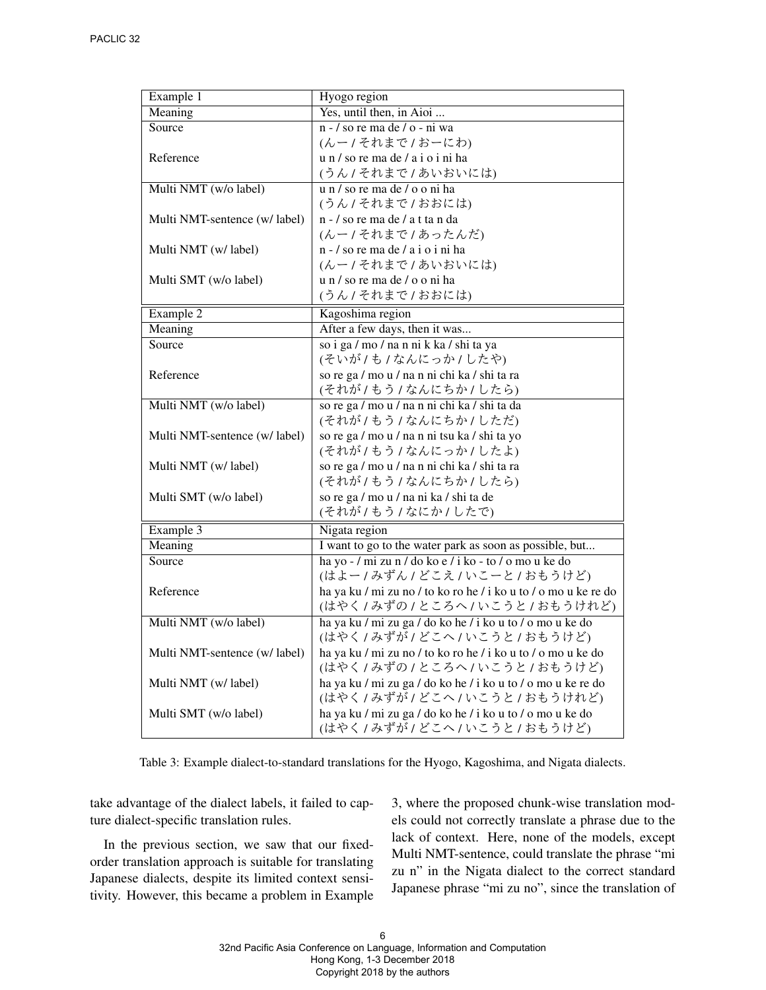| Example 1                     | Hyogo region                                                       |
|-------------------------------|--------------------------------------------------------------------|
| Meaning                       | Yes, until then, in Aioi                                           |
| Source                        | $n - /$ so re ma de $/ o - ni wa$                                  |
|                               | (んー/それまで/おーにわ)                                                     |
| Reference                     | u n / so re ma de / a i o i ni ha                                  |
|                               | (うん/それまで/あいおいには)                                                   |
| Multi NMT (w/o label)         | u n / so re ma de / o o ni ha                                      |
|                               | (うん/それまで/おおには)                                                     |
| Multi NMT-sentence (w/ label) | n - / so re ma de / a t ta n da                                    |
|                               | (んー/それまで/あったんだ)                                                    |
| Multi NMT (w/ label)          | n - / so re ma de / a i o i ni ha                                  |
|                               | (んー/それまで/あいおいには)                                                   |
| Multi SMT (w/o label)         | u n / so re ma de / o o ni ha                                      |
|                               | (うん/それまで/おおには)                                                     |
| Example 2                     | Kagoshima region                                                   |
| Meaning                       | After a few days, then it was                                      |
| Source                        | so i ga / mo / na n ni k ka / shi ta ya                            |
|                               | (そいが/も/なんにっか/したや)                                                  |
| Reference                     | so re ga / mo u / na n ni chi ka / shi ta ra                       |
|                               | (それが/もう/なんにちか/したら)                                                 |
| Multi NMT (w/o label)         | so re ga / mo u / na n ni chi ka / shi ta da                       |
|                               | (それが/もう/なんにちか/しただ)                                                 |
| Multi NMT-sentence (w/ label) | so re ga / mo u / na n ni tsu ka / shi ta yo                       |
|                               | (それが/もう/なんにっか/したよ)                                                 |
| Multi NMT (w/ label)          | so re ga / mo u / na n ni chi ka / shi ta ra                       |
|                               | (それが/もう/なんにちか/したら)                                                 |
| Multi SMT (w/o label)         | so re ga / mo u / na ni ka / shi ta de                             |
|                               | (それが/もう/なにか/したで)                                                   |
| Example 3                     | Nigata region                                                      |
| Meaning                       | I want to go to the water park as soon as possible, but            |
| Source                        | ha yo $\frac{1}{\pi}$ mi zu n / do ko e / i ko - to / o mo u ke do |
|                               | (はよー / みずん / どこえ / いこーと / おもうけど)                                   |
| Reference                     | ha ya ku / mi zu no / to ko ro he / i ko u to / o mo u ke re do    |
|                               | (はやく/みずの/ところへ/いこうと/おもうけれど)                                         |
| Multi NMT (w/o label)         | ha ya ku / mi zu ga / do ko he / i ko u to / o mo u ke do          |
|                               | (はやく/みずが/どこへ/いこうと/おもうけど)                                           |
| Multi NMT-sentence (w/ label) | ha ya ku / mi zu no / to ko ro he / i ko u to / o mo u ke do       |
|                               | (はやく/みずの/ところへ/いこうと/おもうけど)                                          |
| Multi NMT (w/ label)          | ha ya ku / mi zu ga / do ko he / i ko u to / o mo u ke re do       |
|                               | (はやく / みずが / どこへ / いこうと / おもうけれど)                                  |
| Multi SMT (w/o label)         | ha ya ku / mi zu ga / do ko he / i ko u to / o mo u ke do          |
|                               | (はやく / みずが / どこへ / いこうと / おもうけど)                                   |

Table 3: Example dialect-to-standard translations for the Hyogo, Kagoshima, and Nigata dialects.

take advantage of the dialect labels, it failed to capture dialect-specific translation rules.

In the previous section, we saw that our fixedorder translation approach is suitable for translating Japanese dialects, despite its limited context sensitivity. However, this became a problem in Example 3, where the proposed chunk-wise translation models could not correctly translate a phrase due to the lack of context. Here, none of the models, except Multi NMT-sentence, could translate the phrase "mi zu n" in the Nigata dialect to the correct standard Japanese phrase "mi zu no", since the translation of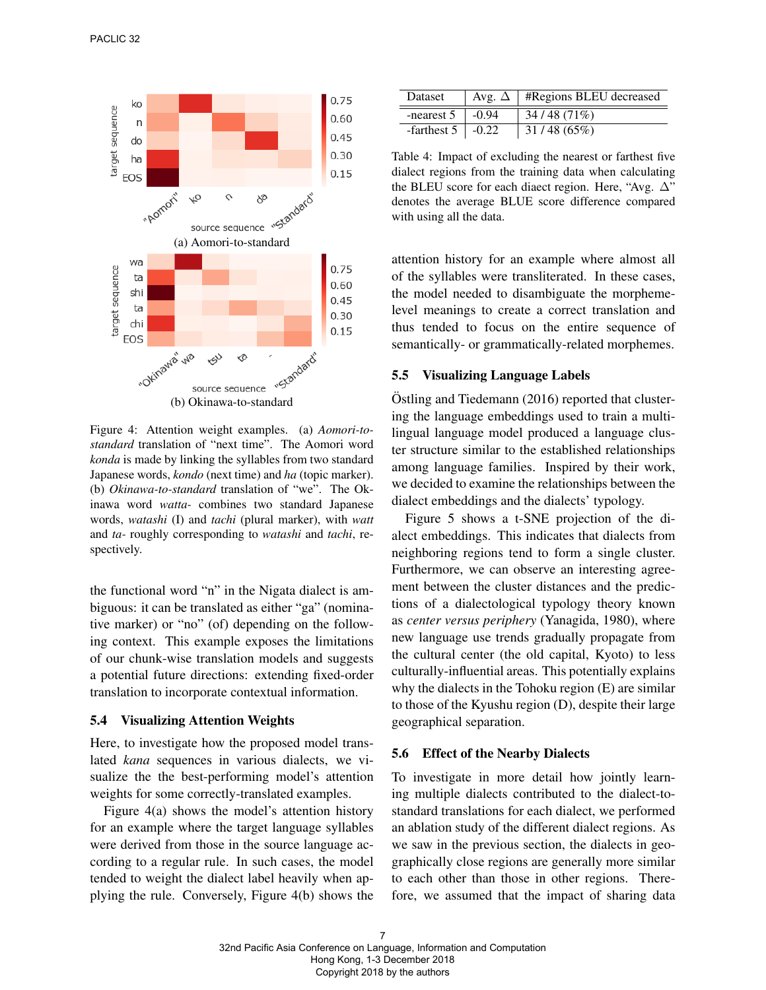

Figure 4: Attention weight examples. (a) *Aomori-tostandard* translation of "next time". The Aomori word *konda* is made by linking the syllables from two standard Japanese words, *kondo* (next time) and *ha* (topic marker). (b) *Okinawa-to-standard* translation of "we". The Okinawa word *watta-* combines two standard Japanese words, *watashi* (I) and *tachi* (plural marker), with *watt* and *ta-* roughly corresponding to *watashi* and *tachi*, respectively.

the functional word "n" in the Nigata dialect is ambiguous: it can be translated as either "ga" (nominative marker) or "no" (of) depending on the following context. This example exposes the limitations of our chunk-wise translation models and suggests a potential future directions: extending fixed-order translation to incorporate contextual information.

## 5.4 Visualizing Attention Weights

Here, to investigate how the proposed model translated *kana* sequences in various dialects, we visualize the the best-performing model's attention weights for some correctly-translated examples.

Figure 4(a) shows the model's attention history for an example where the target language syllables were derived from those in the source language according to a regular rule. In such cases, the model tended to weight the dialect label heavily when applying the rule. Conversely, Figure 4(b) shows the

| Dataset                  |         | Avg. $\Delta$   #Regions BLEU decreased |
|--------------------------|---------|-----------------------------------------|
| -nearest 5               | $-0.94$ | 34/48(71%)                              |
| -farthest $5 \mid -0.22$ |         | 31/48(65%)                              |

Table 4: Impact of excluding the nearest or farthest five dialect regions from the training data when calculating the BLEU score for each diaect region. Here, "Avg. ∆" denotes the average BLUE score difference compared with using all the data.

attention history for an example where almost all of the syllables were transliterated. In these cases, the model needed to disambiguate the morphemelevel meanings to create a correct translation and thus tended to focus on the entire sequence of semantically- or grammatically-related morphemes.

#### 5.5 Visualizing Language Labels

 $Ostling$  and Tiedemann (2016) reported that clustering the language embeddings used to train a multilingual language model produced a language cluster structure similar to the established relationships among language families. Inspired by their work, we decided to examine the relationships between the dialect embeddings and the dialects' typology.

Figure 5 shows a t-SNE projection of the dialect embeddings. This indicates that dialects from neighboring regions tend to form a single cluster. Furthermore, we can observe an interesting agreement between the cluster distances and the predictions of a dialectological typology theory known as *center versus periphery* (Yanagida, 1980), where new language use trends gradually propagate from the cultural center (the old capital, Kyoto) to less culturally-influential areas. This potentially explains why the dialects in the Tohoku region (E) are similar to those of the Kyushu region (D), despite their large geographical separation.

#### 5.6 Effect of the Nearby Dialects

To investigate in more detail how jointly learning multiple dialects contributed to the dialect-tostandard translations for each dialect, we performed an ablation study of the different dialect regions. As we saw in the previous section, the dialects in geographically close regions are generally more similar to each other than those in other regions. Therefore, we assumed that the impact of sharing data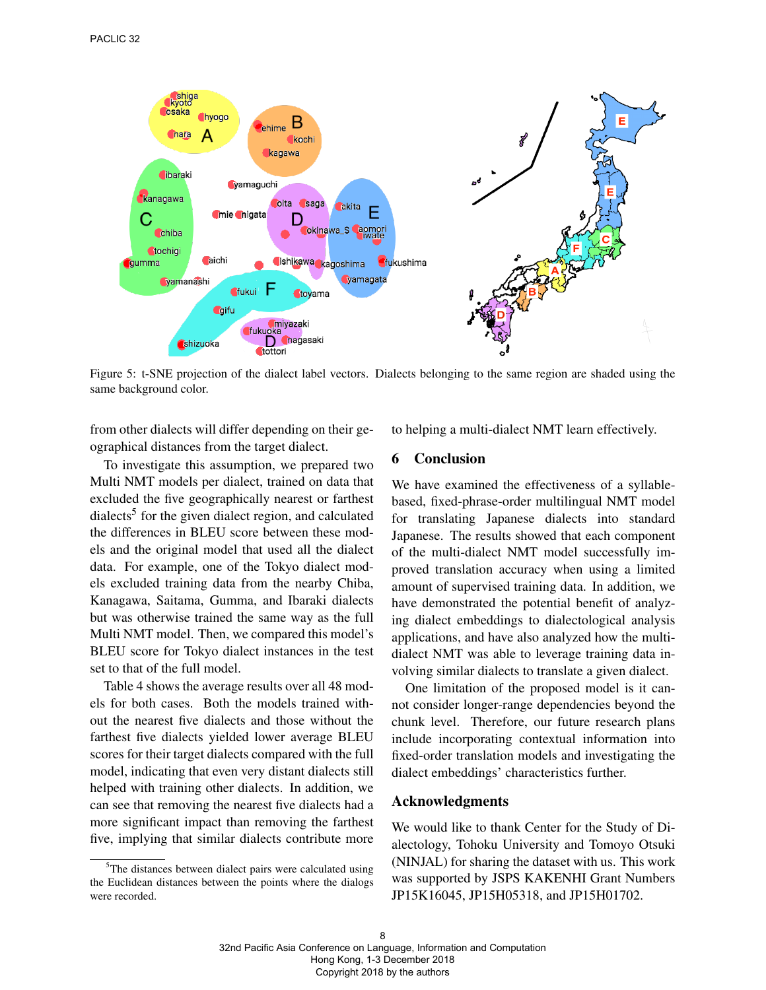

Figure 5: t-SNE projection of the dialect label vectors. Dialects belonging to the same region are shaded using the same background color.

from other dialects will differ depending on their geographical distances from the target dialect.

To investigate this assumption, we prepared two Multi NMT models per dialect, trained on data that excluded the five geographically nearest or farthest dialects<sup>5</sup> for the given dialect region, and calculated the differences in BLEU score between these models and the original model that used all the dialect data. For example, one of the Tokyo dialect models excluded training data from the nearby Chiba, Kanagawa, Saitama, Gumma, and Ibaraki dialects but was otherwise trained the same way as the full Multi NMT model. Then, we compared this model's BLEU score for Tokyo dialect instances in the test set to that of the full model.

Table 4 shows the average results over all 48 models for both cases. Both the models trained without the nearest five dialects and those without the farthest five dialects yielded lower average BLEU scores for their target dialects compared with the full model, indicating that even very distant dialects still helped with training other dialects. In addition, we can see that removing the nearest five dialects had a more significant impact than removing the farthest five, implying that similar dialects contribute more

to helping a multi-dialect NMT learn effectively.

## 6 Conclusion

We have examined the effectiveness of a syllablebased, fixed-phrase-order multilingual NMT model for translating Japanese dialects into standard Japanese. The results showed that each component of the multi-dialect NMT model successfully improved translation accuracy when using a limited amount of supervised training data. In addition, we have demonstrated the potential benefit of analyzing dialect embeddings to dialectological analysis applications, and have also analyzed how the multidialect NMT was able to leverage training data involving similar dialects to translate a given dialect.

One limitation of the proposed model is it cannot consider longer-range dependencies beyond the chunk level. Therefore, our future research plans include incorporating contextual information into fixed-order translation models and investigating the dialect embeddings' characteristics further.

#### Acknowledgments

We would like to thank Center for the Study of Dialectology, Tohoku University and Tomoyo Otsuki (NINJAL) for sharing the dataset with us. This work was supported by JSPS KAKENHI Grant Numbers JP15K16045, JP15H05318, and JP15H01702.

 $5$ The distances between dialect pairs were calculated using the Euclidean distances between the points where the dialogs were recorded.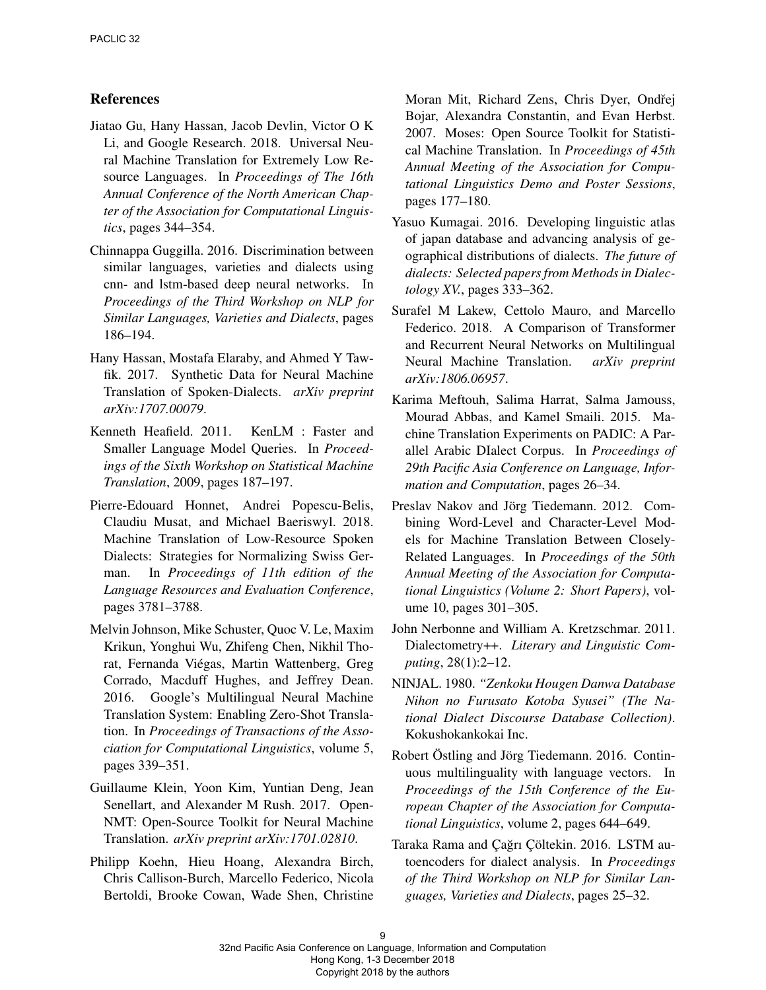## References

- Jiatao Gu, Hany Hassan, Jacob Devlin, Victor O K Li, and Google Research. 2018. Universal Neural Machine Translation for Extremely Low Resource Languages. In *Proceedings of The 16th Annual Conference of the North American Chapter of the Association for Computational Linguistics*, pages 344–354.
- Chinnappa Guggilla. 2016. Discrimination between similar languages, varieties and dialects using cnn- and lstm-based deep neural networks. In *Proceedings of the Third Workshop on NLP for Similar Languages, Varieties and Dialects*, pages 186–194.
- Hany Hassan, Mostafa Elaraby, and Ahmed Y Tawfik. 2017. Synthetic Data for Neural Machine Translation of Spoken-Dialects. *arXiv preprint arXiv:1707.00079*.
- Kenneth Heafield. 2011. KenLM : Faster and Smaller Language Model Queries. In *Proceedings of the Sixth Workshop on Statistical Machine Translation*, 2009, pages 187–197.
- Pierre-Edouard Honnet, Andrei Popescu-Belis, Claudiu Musat, and Michael Baeriswyl. 2018. Machine Translation of Low-Resource Spoken Dialects: Strategies for Normalizing Swiss German. In *Proceedings of 11th edition of the Language Resources and Evaluation Conference*, pages 3781–3788.
- Melvin Johnson, Mike Schuster, Quoc V. Le, Maxim Krikun, Yonghui Wu, Zhifeng Chen, Nikhil Thorat, Fernanda Viegas, Martin Wattenberg, Greg ´ Corrado, Macduff Hughes, and Jeffrey Dean. 2016. Google's Multilingual Neural Machine Translation System: Enabling Zero-Shot Translation. In *Proceedings of Transactions of the Association for Computational Linguistics*, volume 5, pages 339–351.
- Guillaume Klein, Yoon Kim, Yuntian Deng, Jean Senellart, and Alexander M Rush. 2017. Open-NMT: Open-Source Toolkit for Neural Machine Translation. *arXiv preprint arXiv:1701.02810*.
- Philipp Koehn, Hieu Hoang, Alexandra Birch, Chris Callison-Burch, Marcello Federico, Nicola Bertoldi, Brooke Cowan, Wade Shen, Christine

Moran Mit, Richard Zens, Chris Dyer, Ondřej Bojar, Alexandra Constantin, and Evan Herbst. 2007. Moses: Open Source Toolkit for Statistical Machine Translation. In *Proceedings of 45th Annual Meeting of the Association for Computational Linguistics Demo and Poster Sessions*, pages 177–180.

- Yasuo Kumagai. 2016. Developing linguistic atlas of japan database and advancing analysis of geographical distributions of dialects. *The future of dialects: Selected papers from Methods in Dialectology XV.*, pages 333–362.
- Surafel M Lakew, Cettolo Mauro, and Marcello Federico. 2018. A Comparison of Transformer and Recurrent Neural Networks on Multilingual Neural Machine Translation. *arXiv preprint arXiv:1806.06957*.
- Karima Meftouh, Salima Harrat, Salma Jamouss, Mourad Abbas, and Kamel Smaili. 2015. Machine Translation Experiments on PADIC: A Parallel Arabic DIalect Corpus. In *Proceedings of 29th Pacific Asia Conference on Language, Information and Computation*, pages 26–34.
- Preslav Nakov and Jörg Tiedemann. 2012. Combining Word-Level and Character-Level Models for Machine Translation Between Closely-Related Languages. In *Proceedings of the 50th Annual Meeting of the Association for Computational Linguistics (Volume 2: Short Papers)*, volume 10, pages 301–305.
- John Nerbonne and William A. Kretzschmar. 2011. Dialectometry++. *Literary and Linguistic Computing*, 28(1):2–12.
- NINJAL. 1980. *"Zenkoku Hougen Danwa Database Nihon no Furusato Kotoba Syusei" (The National Dialect Discourse Database Collection)*. Kokushokankokai Inc.
- Robert Östling and Jörg Tiedemann. 2016. Continuous multilinguality with language vectors. In *Proceedings of the 15th Conference of the European Chapter of the Association for Computational Linguistics*, volume 2, pages 644–649.
- Taraka Rama and Çağrı Çöltekin. 2016. LSTM autoencoders for dialect analysis. In *Proceedings of the Third Workshop on NLP for Similar Languages, Varieties and Dialects*, pages 25–32.